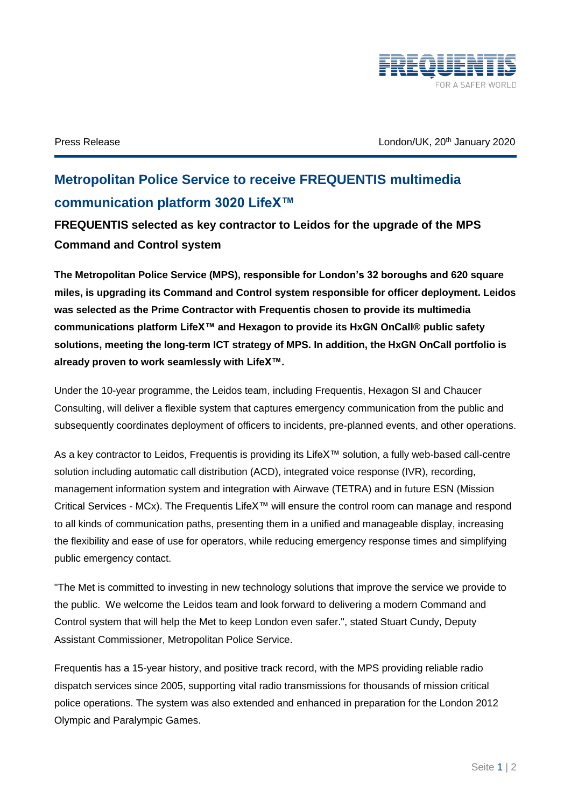

Press Release **Press Release** January 2020

## **Metropolitan Police Service to receive FREQUENTIS multimedia communication platform 3020 LifeX™**

**FREQUENTIS selected as key contractor to Leidos for the upgrade of the MPS Command and Control system**

**The Metropolitan Police Service (MPS), responsible for London's 32 boroughs and 620 square miles, is upgrading its Command and Control system responsible for officer deployment. Leidos was selected as the Prime Contractor with Frequentis chosen to provide its multimedia communications platform LifeX™ and Hexagon to provide its HxGN OnCall® public safety solutions, meeting the long-term ICT strategy of MPS. In addition, the HxGN OnCall portfolio is already proven to work seamlessly with LifeX™.**

Under the 10-year programme, the Leidos team, including Frequentis, Hexagon SI and Chaucer Consulting, will deliver a flexible system that captures emergency communication from the public and subsequently coordinates deployment of officers to incidents, pre-planned events, and other operations.

As a key contractor to Leidos, Frequentis is providing its LifeX™ solution, a fully web-based call-centre solution including automatic call distribution (ACD), integrated voice response (IVR), recording, management information system and integration with Airwave (TETRA) and in future ESN (Mission Critical Services - MCx). The Frequentis LifeX™ will ensure the control room can manage and respond to all kinds of communication paths, presenting them in a unified and manageable display, increasing the flexibility and ease of use for operators, while reducing emergency response times and simplifying public emergency contact.

"The Met is committed to investing in new technology solutions that improve the service we provide to the public. We welcome the Leidos team and look forward to delivering a modern Command and Control system that will help the Met to keep London even safer.", stated Stuart Cundy, Deputy Assistant Commissioner, Metropolitan Police Service.

Frequentis has a 15-year history, and positive track record, with the MPS providing reliable radio dispatch services since 2005, supporting vital radio transmissions for thousands of mission critical police operations. The system was also extended and enhanced in preparation for the London 2012 Olympic and Paralympic Games.